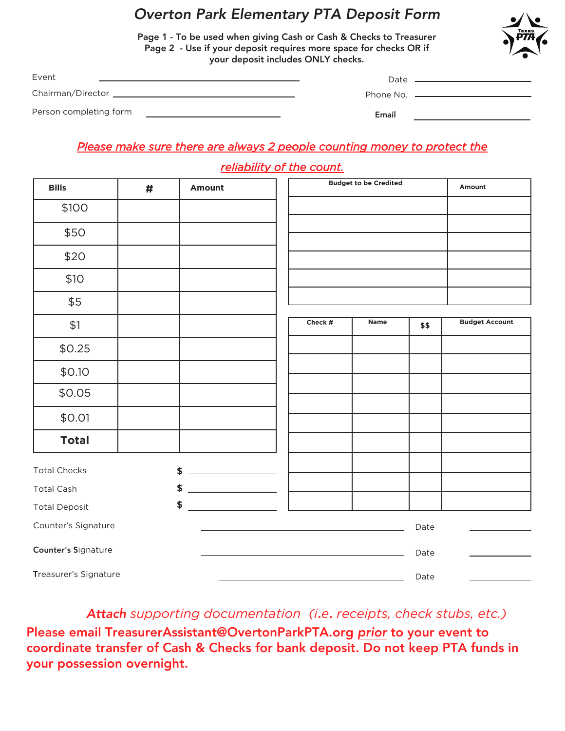## Overton Park Elementary PTA Deposit Form

Page 1 - To be used when giving Cash or Cash & Checks to Treasurer Page 2 - Use if your deposit requires more space for checks OR if your deposit includes ONLY checks.



| Event                  | Date  |                                        |
|------------------------|-------|----------------------------------------|
|                        |       | Phone No. <u>_____________________</u> |
| Person completing form | Email |                                        |

### *Please make sure there are always 2 people counting money to protect the*

#### *reliability of the count.*

| <b>Bills</b>          | # | Amount |         | <b>Budget to be Credited</b> |      | Amount                |
|-----------------------|---|--------|---------|------------------------------|------|-----------------------|
| \$100                 |   |        |         |                              |      |                       |
| \$50                  |   |        |         |                              |      |                       |
| \$20                  |   |        |         |                              |      |                       |
| \$10                  |   |        |         |                              |      |                       |
| \$5                   |   |        |         |                              |      |                       |
| \$1                   |   |        | Check # | Name                         | \$\$ | <b>Budget Account</b> |
| \$0.25                |   |        |         |                              |      |                       |
| \$0.10                |   |        |         |                              |      |                       |
| \$0.05                |   |        |         |                              |      |                       |
| \$0.01                |   |        |         |                              |      |                       |
| <b>Total</b>          |   |        |         |                              |      |                       |
| <b>Total Checks</b>   |   | \$     |         |                              |      |                       |
| <b>Total Cash</b>     |   | \$     |         |                              |      |                       |
| <b>Total Deposit</b>  |   | \$     |         |                              |      |                       |
| Counter's Signature   |   |        |         |                              | Date |                       |
| Counter's Signature   |   |        |         |                              | Date |                       |
| Treasurer's Signature |   |        |         |                              | Date |                       |

Attach *supporting documentation (i*.*e*. *receipts, check stubs, etc.)*

Please email TreasurerAssistant@OvertonParkPTA.org prior to your event to coordinate transfer of Cash & Checks for bank deposit. Do not keep PTA funds in your possession overnight.